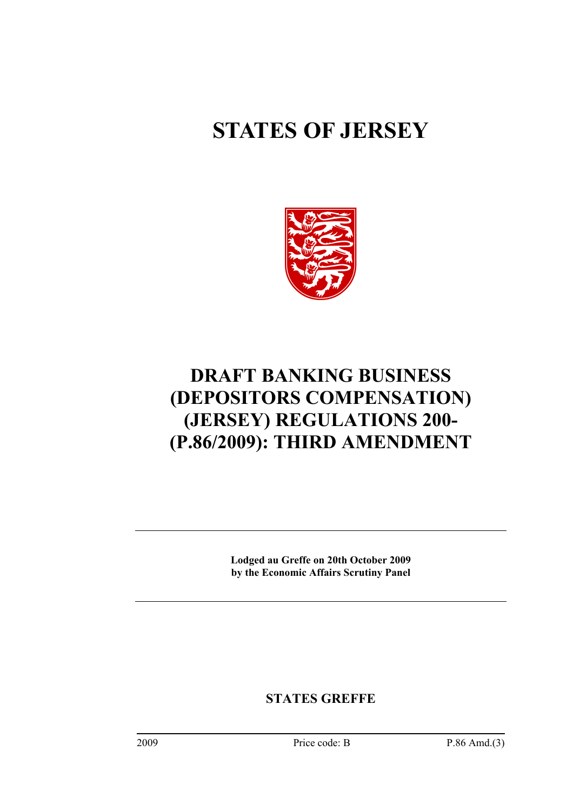# **STATES OF JERSEY**



# **DRAFT BANKING BUSINESS (DEPOSITORS COMPENSATION) (JERSEY) REGULATIONS 200- (P.86/2009): THIRD AMENDMENT**

**Lodged au Greffe on 20th October 2009 by the Economic Affairs Scrutiny Panel** 

**STATES GREFFE**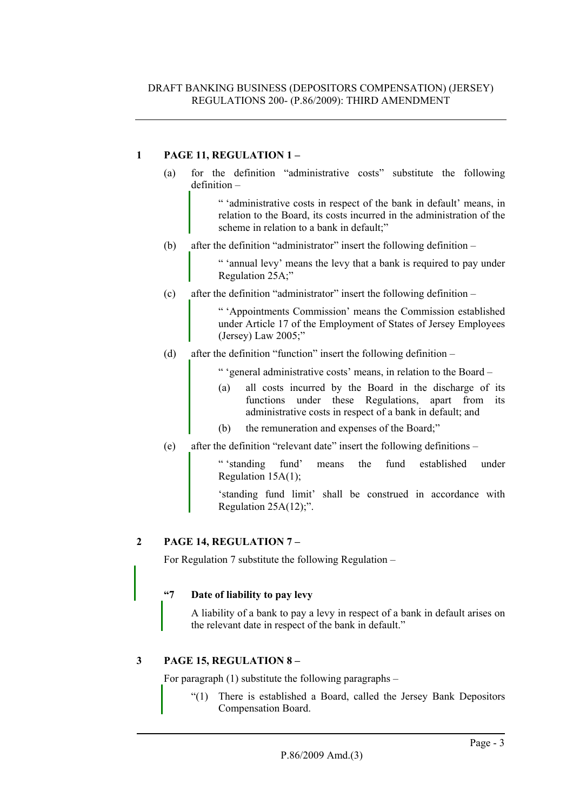# **1 PAGE 11, REGULATION 1 –**

(a) for the definition "administrative costs" substitute the following definition –

> " 'administrative costs in respect of the bank in default' means, in relation to the Board, its costs incurred in the administration of the scheme in relation to a bank in default:"

(b) after the definition "administrator" insert the following definition –

" 'annual levy' means the levy that a bank is required to pay under Regulation 25A;"

(c) after the definition "administrator" insert the following definition –

" 'Appointments Commission' means the Commission established under Article 17 of the Employment of States of Jersey Employees (Jersey) Law 2005;"

(d) after the definition "function" insert the following definition –

" 'general administrative costs' means, in relation to the Board –

- (a) all costs incurred by the Board in the discharge of its functions under these Regulations, apart from its administrative costs in respect of a bank in default; and
- (b) the remuneration and expenses of the Board;"
- (e) after the definition "relevant date" insert the following definitions –

" 'standing fund' means the fund established under Regulation 15A(1);

'standing fund limit' shall be construed in accordance with Regulation  $25A(12)$ ;".

# **2 PAGE 14, REGULATION 7 –**

For Regulation 7 substitute the following Regulation –

# **"7 Date of liability to pay levy**

A liability of a bank to pay a levy in respect of a bank in default arises on the relevant date in respect of the bank in default."

# **3 PAGE 15, REGULATION 8 –**

For paragraph (1) substitute the following paragraphs –

"(1) There is established a Board, called the Jersey Bank Depositors Compensation Board.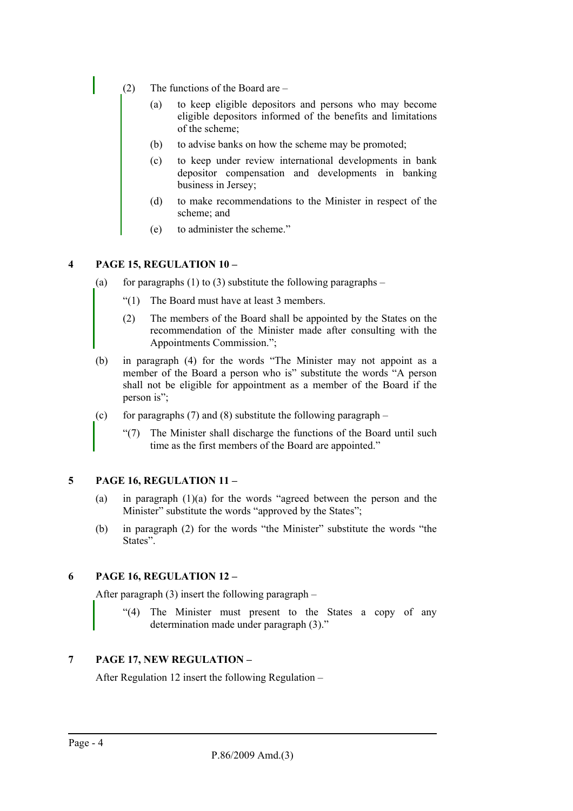- (2) The functions of the Board are
	- (a) to keep eligible depositors and persons who may become eligible depositors informed of the benefits and limitations of the scheme;
	- (b) to advise banks on how the scheme may be promoted;
	- (c) to keep under review international developments in bank depositor compensation and developments in banking business in Jersey;
	- (d) to make recommendations to the Minister in respect of the scheme; and
	- (e) to administer the scheme."

## **4 PAGE 15, REGULATION 10 –**

- (a) for paragraphs (1) to (3) substitute the following paragraphs
	- "(1) The Board must have at least 3 members.
	- (2) The members of the Board shall be appointed by the States on the recommendation of the Minister made after consulting with the Appointments Commission.";
- (b) in paragraph (4) for the words "The Minister may not appoint as a member of the Board a person who is" substitute the words "A person shall not be eligible for appointment as a member of the Board if the person is":
- (c) for paragraphs  $(7)$  and  $(8)$  substitute the following paragraph
	- "(7) The Minister shall discharge the functions of the Board until such time as the first members of the Board are appointed."

# **5 PAGE 16, REGULATION 11 –**

- (a) in paragraph (1)(a) for the words "agreed between the person and the Minister" substitute the words "approved by the States";
- (b) in paragraph (2) for the words "the Minister" substitute the words "the States".

# **6 PAGE 16, REGULATION 12 –**

After paragraph (3) insert the following paragraph –

"(4) The Minister must present to the States a copy of any determination made under paragraph (3)."

# **7 PAGE 17, NEW REGULATION –**

After Regulation 12 insert the following Regulation –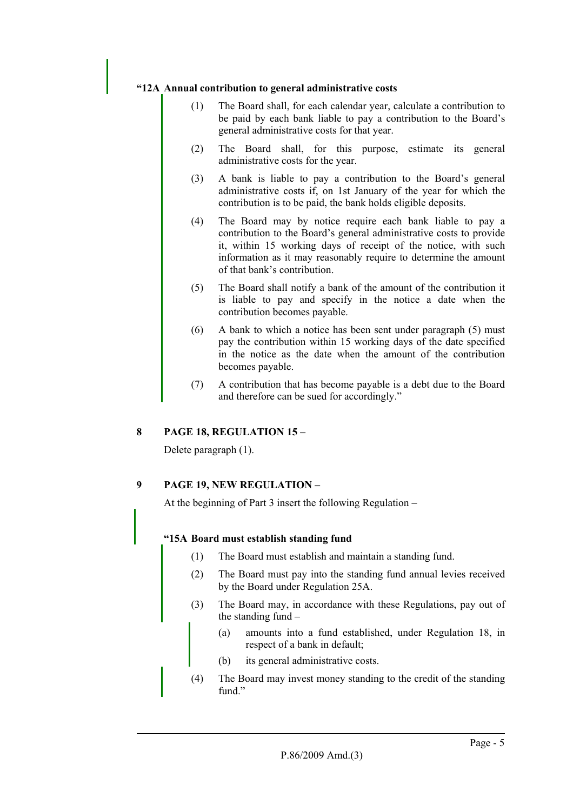## **"12A Annual contribution to general administrative costs**

- (1) The Board shall, for each calendar year, calculate a contribution to be paid by each bank liable to pay a contribution to the Board's general administrative costs for that year.
- (2) The Board shall, for this purpose, estimate its general administrative costs for the year.
- (3) A bank is liable to pay a contribution to the Board's general administrative costs if, on 1st January of the year for which the contribution is to be paid, the bank holds eligible deposits.
- (4) The Board may by notice require each bank liable to pay a contribution to the Board's general administrative costs to provide it, within 15 working days of receipt of the notice, with such information as it may reasonably require to determine the amount of that bank's contribution.
- (5) The Board shall notify a bank of the amount of the contribution it is liable to pay and specify in the notice a date when the contribution becomes payable.
- (6) A bank to which a notice has been sent under paragraph (5) must pay the contribution within 15 working days of the date specified in the notice as the date when the amount of the contribution becomes payable.
- (7) A contribution that has become payable is a debt due to the Board and therefore can be sued for accordingly."

# **8 PAGE 18, REGULATION 15 –**

Delete paragraph (1).

# **9 PAGE 19, NEW REGULATION –**

At the beginning of Part 3 insert the following Regulation –

#### **"15A Board must establish standing fund**

- (1) The Board must establish and maintain a standing fund.
- (2) The Board must pay into the standing fund annual levies received by the Board under Regulation 25A.
- (3) The Board may, in accordance with these Regulations, pay out of the standing fund –
	- (a) amounts into a fund established, under Regulation 18, in respect of a bank in default;
	- (b) its general administrative costs.
- (4) The Board may invest money standing to the credit of the standing fund"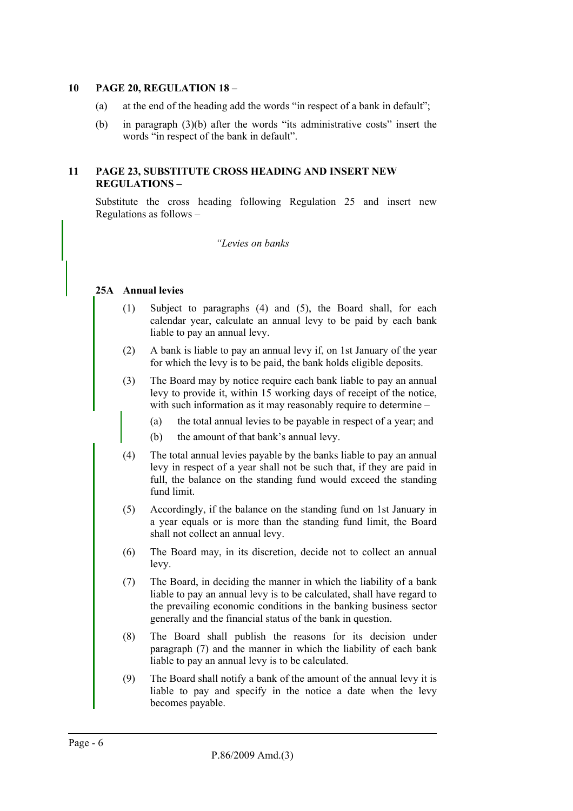#### **10 PAGE 20, REGULATION 18 –**

- (a) at the end of the heading add the words "in respect of a bank in default";
- (b) in paragraph (3)(b) after the words "its administrative costs" insert the words "in respect of the bank in default".

#### **11 PAGE 23, SUBSTITUTE CROSS HEADING AND INSERT NEW REGULATIONS –**

Substitute the cross heading following Regulation 25 and insert new Regulations as follows –

*"Levies on banks* 

#### **25A Annual levies**

- (1) Subject to paragraphs (4) and (5), the Board shall, for each calendar year, calculate an annual levy to be paid by each bank liable to pay an annual levy.
- (2) A bank is liable to pay an annual levy if, on 1st January of the year for which the levy is to be paid, the bank holds eligible deposits.
- (3) The Board may by notice require each bank liable to pay an annual levy to provide it, within 15 working days of receipt of the notice, with such information as it may reasonably require to determine –
	- (a) the total annual levies to be payable in respect of a year; and
	- (b) the amount of that bank's annual levy.
- (4) The total annual levies payable by the banks liable to pay an annual levy in respect of a year shall not be such that, if they are paid in full, the balance on the standing fund would exceed the standing fund limit.
- (5) Accordingly, if the balance on the standing fund on 1st January in a year equals or is more than the standing fund limit, the Board shall not collect an annual levy.
- (6) The Board may, in its discretion, decide not to collect an annual levy.
- (7) The Board, in deciding the manner in which the liability of a bank liable to pay an annual levy is to be calculated, shall have regard to the prevailing economic conditions in the banking business sector generally and the financial status of the bank in question.
- (8) The Board shall publish the reasons for its decision under paragraph (7) and the manner in which the liability of each bank liable to pay an annual levy is to be calculated.
- (9) The Board shall notify a bank of the amount of the annual levy it is liable to pay and specify in the notice a date when the levy becomes payable.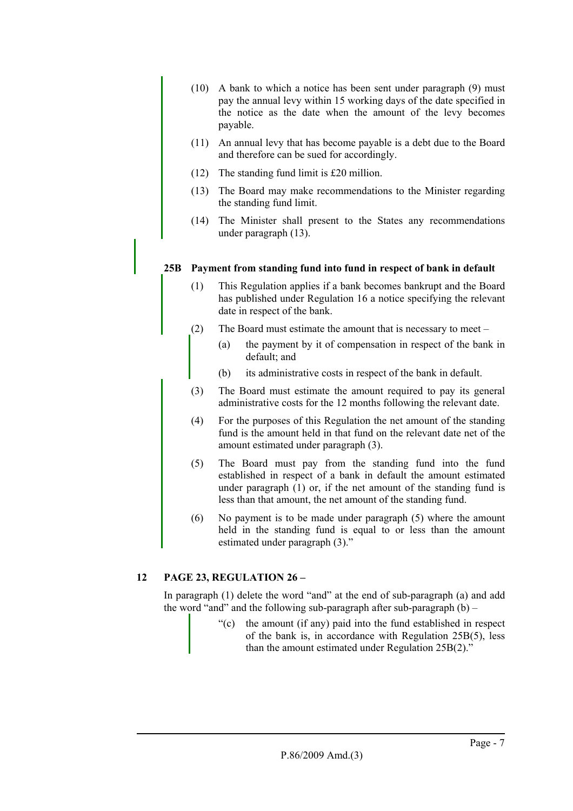- (10) A bank to which a notice has been sent under paragraph (9) must pay the annual levy within 15 working days of the date specified in the notice as the date when the amount of the levy becomes payable.
- (11) An annual levy that has become payable is a debt due to the Board and therefore can be sued for accordingly.
- (12) The standing fund limit is £20 million.
- (13) The Board may make recommendations to the Minister regarding the standing fund limit.
- (14) The Minister shall present to the States any recommendations under paragraph (13).

#### **25B Payment from standing fund into fund in respect of bank in default**

- (1) This Regulation applies if a bank becomes bankrupt and the Board has published under Regulation 16 a notice specifying the relevant date in respect of the bank.
- (2) The Board must estimate the amount that is necessary to meet
	- (a) the payment by it of compensation in respect of the bank in default; and
	- (b) its administrative costs in respect of the bank in default.
- (3) The Board must estimate the amount required to pay its general administrative costs for the 12 months following the relevant date.
- (4) For the purposes of this Regulation the net amount of the standing fund is the amount held in that fund on the relevant date net of the amount estimated under paragraph (3).
- (5) The Board must pay from the standing fund into the fund established in respect of a bank in default the amount estimated under paragraph (1) or, if the net amount of the standing fund is less than that amount, the net amount of the standing fund.
- (6) No payment is to be made under paragraph (5) where the amount held in the standing fund is equal to or less than the amount estimated under paragraph (3)."

# **12 PAGE 23, REGULATION 26 –**

In paragraph (1) delete the word "and" at the end of sub-paragraph (a) and add the word "and" and the following sub-paragraph after sub-paragraph  $(b)$  –

> "(c) the amount (if any) paid into the fund established in respect of the bank is, in accordance with Regulation 25B(5), less than the amount estimated under Regulation 25B(2)."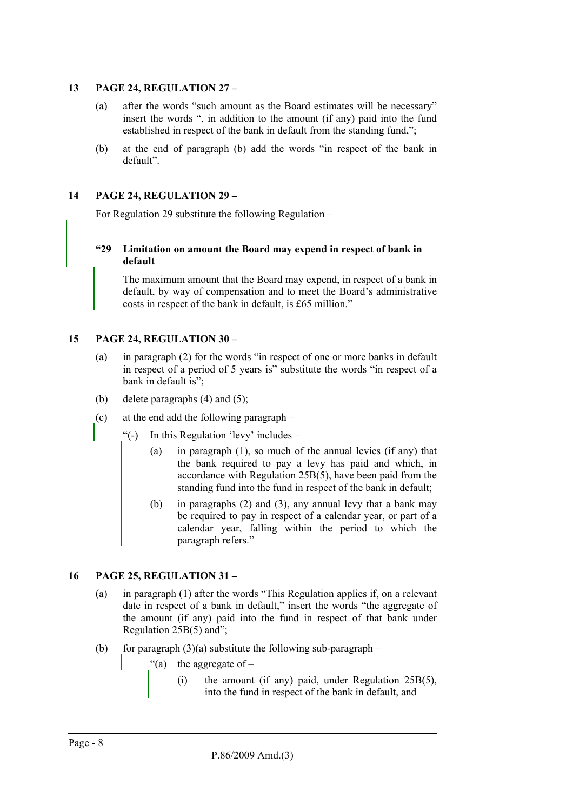#### **13 PAGE 24, REGULATION 27 –**

- (a) after the words "such amount as the Board estimates will be necessary" insert the words ", in addition to the amount (if any) paid into the fund established in respect of the bank in default from the standing fund,";
- (b) at the end of paragraph (b) add the words "in respect of the bank in default".

### **14 PAGE 24, REGULATION 29 –**

For Regulation 29 substitute the following Regulation –

#### **"29 Limitation on amount the Board may expend in respect of bank in default**

The maximum amount that the Board may expend, in respect of a bank in default, by way of compensation and to meet the Board's administrative costs in respect of the bank in default, is £65 million."

#### **15 PAGE 24, REGULATION 30 –**

- (a) in paragraph (2) for the words "in respect of one or more banks in default in respect of a period of 5 years is" substitute the words "in respect of a bank in default is";
- (b) delete paragraphs  $(4)$  and  $(5)$ ;
- (c) at the end add the following paragraph
	- "(-) In this Regulation 'levy' includes
		- (a) in paragraph (1), so much of the annual levies (if any) that the bank required to pay a levy has paid and which, in accordance with Regulation 25B(5), have been paid from the standing fund into the fund in respect of the bank in default;
		- (b) in paragraphs (2) and (3), any annual levy that a bank may be required to pay in respect of a calendar year, or part of a calendar year, falling within the period to which the paragraph refers."

#### **16 PAGE 25, REGULATION 31 –**

- (a) in paragraph (1) after the words "This Regulation applies if, on a relevant date in respect of a bank in default," insert the words "the aggregate of the amount (if any) paid into the fund in respect of that bank under Regulation 25B(5) and";
- (b) for paragraph  $(3)(a)$  substitute the following sub-paragraph
	- "(a) the aggregate of  $-$ 
		- (i) the amount (if any) paid, under Regulation 25B(5), into the fund in respect of the bank in default, and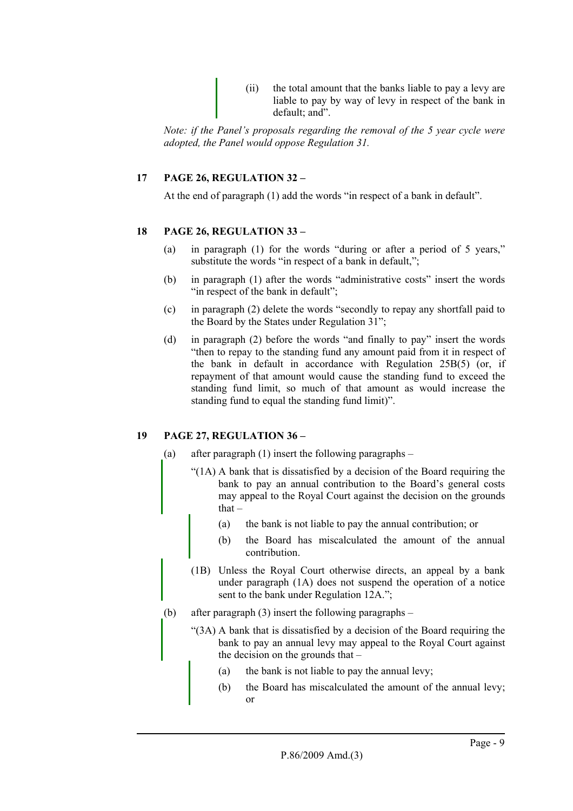(ii) the total amount that the banks liable to pay a levy are liable to pay by way of levy in respect of the bank in default; and".

*Note: if the Panel's proposals regarding the removal of the 5 year cycle were adopted, the Panel would oppose Regulation 31.* 

# **17 PAGE 26, REGULATION 32 –**

At the end of paragraph (1) add the words "in respect of a bank in default".

#### **18 PAGE 26, REGULATION 33 –**

- (a) in paragraph (1) for the words "during or after a period of 5 years," substitute the words "in respect of a bank in default,";
- (b) in paragraph (1) after the words "administrative costs" insert the words "in respect of the bank in default":
- (c) in paragraph (2) delete the words "secondly to repay any shortfall paid to the Board by the States under Regulation 31";
- (d) in paragraph (2) before the words "and finally to pay" insert the words "then to repay to the standing fund any amount paid from it in respect of the bank in default in accordance with Regulation 25B(5) (or, if repayment of that amount would cause the standing fund to exceed the standing fund limit, so much of that amount as would increase the standing fund to equal the standing fund limit)".

#### **19 PAGE 27, REGULATION 36 –**

(a) after paragraph (1) insert the following paragraphs –

- "(1A) A bank that is dissatisfied by a decision of the Board requiring the bank to pay an annual contribution to the Board's general costs may appeal to the Royal Court against the decision on the grounds that –
	- (a) the bank is not liable to pay the annual contribution; or
	- (b) the Board has miscalculated the amount of the annual contribution.
- (1B) Unless the Royal Court otherwise directs, an appeal by a bank under paragraph (1A) does not suspend the operation of a notice sent to the bank under Regulation 12A.";
- (b) after paragraph (3) insert the following paragraphs
	- "(3A) A bank that is dissatisfied by a decision of the Board requiring the bank to pay an annual levy may appeal to the Royal Court against the decision on the grounds that –
		- (a) the bank is not liable to pay the annual levy;
		- (b) the Board has miscalculated the amount of the annual levy; or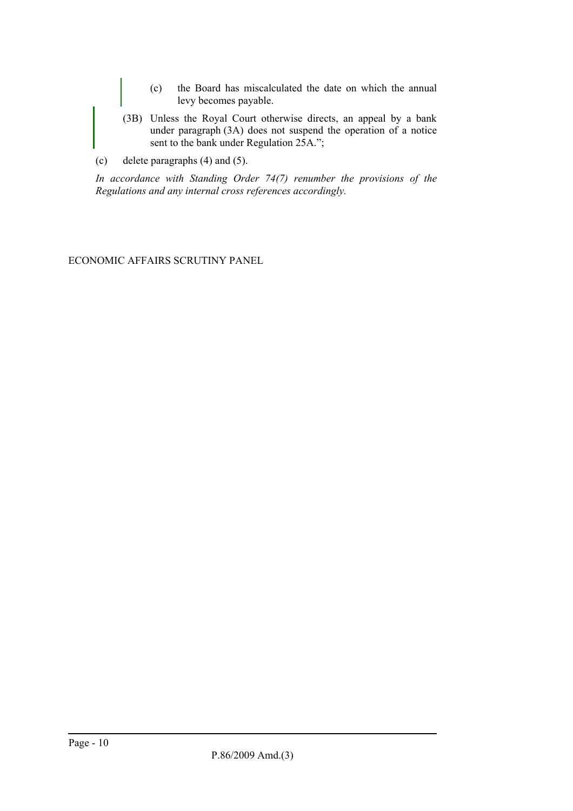- (c) the Board has miscalculated the date on which the annual levy becomes payable.
- (3B) Unless the Royal Court otherwise directs, an appeal by a bank under paragraph (3A) does not suspend the operation of a notice sent to the bank under Regulation 25A.";
- (c) delete paragraphs (4) and (5).

*In accordance with Standing Order 74(7) renumber the provisions of the Regulations and any internal cross references accordingly.* 

ECONOMIC AFFAIRS SCRUTINY PANEL